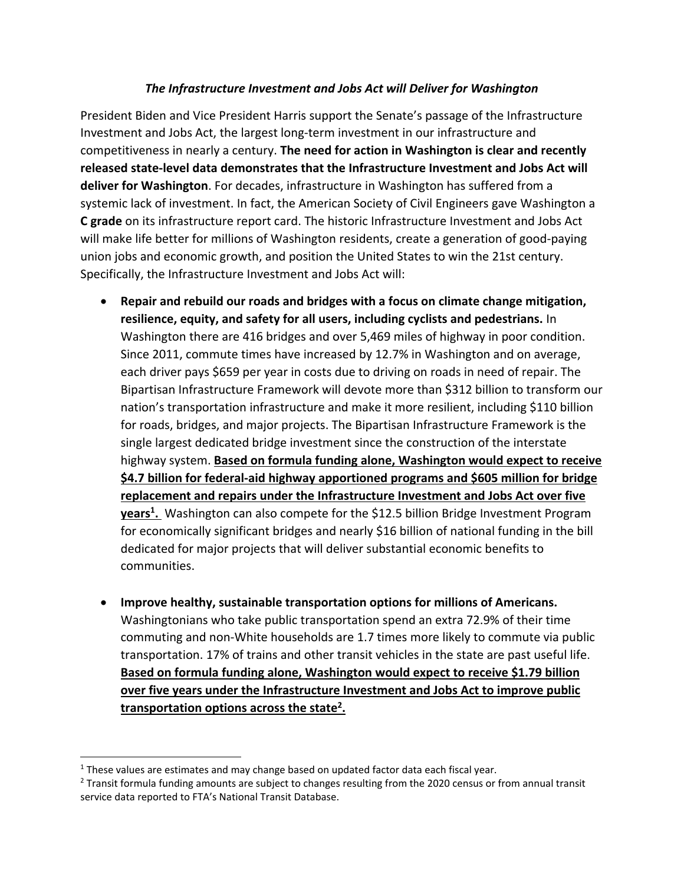## *The Infrastructure Investment and Jobs Act will Deliver for Washington*

President Biden and Vice President Harris support the Senate's passage of the Infrastructure Investment and Jobs Act, the largest long-term investment in our infrastructure and competitiveness in nearly a century. **The need for action in Washington is clear and recently released state-level data demonstrates that the Infrastructure Investment and Jobs Act will deliver for Washington**. For decades, infrastructure in Washington has suffered from a systemic lack of investment. In fact, the American Society of Civil Engineers gave Washington a **C grade** on its infrastructure report card. The historic Infrastructure Investment and Jobs Act will make life better for millions of Washington residents, create a generation of good-paying union jobs and economic growth, and position the United States to win the 21st century. Specifically, the Infrastructure Investment and Jobs Act will:

- **Repair and rebuild our roads and bridges with a focus on climate change mitigation, resilience, equity, and safety for all users, including cyclists and pedestrians.** In Washington there are 416 bridges and over 5,469 miles of highway in poor condition. Since 2011, commute times have increased by 12.7% in Washington and on average, each driver pays \$659 per year in costs due to driving on roads in need of repair. The Bipartisan Infrastructure Framework will devote more than \$312 billion to transform our nation's transportation infrastructure and make it more resilient, including \$110 billion for roads, bridges, and major projects. The Bipartisan Infrastructure Framework is the single largest dedicated bridge investment since the construction of the interstate highway system. **Based on formula funding alone, Washington would expect to receive \$4.7 billion for federal-aid highway apportioned programs and \$605 million for bridge replacement and repairs under the Infrastructure Investment and Jobs Act over five years<sup>1</sup> .** Washington can also compete for the \$12.5 billion Bridge Investment Program for economically significant bridges and nearly \$16 billion of national funding in the bill dedicated for major projects that will deliver substantial economic benefits to communities.
- **Improve healthy, sustainable transportation options for millions of Americans.** Washingtonians who take public transportation spend an extra 72.9% of their time commuting and non-White households are 1.7 times more likely to commute via public transportation. 17% of trains and other transit vehicles in the state are past useful life. **Based on formula funding alone, Washington would expect to receive \$1.79 billion over five years under the Infrastructure Investment and Jobs Act to improve public transportation options across the state<sup>2</sup> .**

 $\overline{\phantom{a}}$ 

 $1$  These values are estimates and may change based on updated factor data each fiscal year.

<sup>2</sup> Transit formula funding amounts are subject to changes resulting from the 2020 census or from annual transit service data reported to FTA's National Transit Database.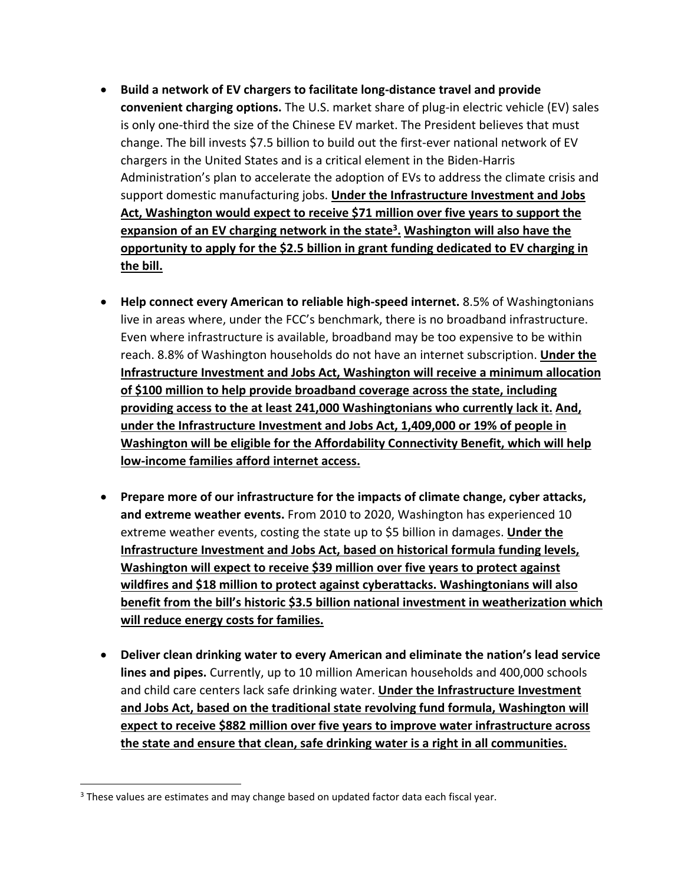- **Build a network of EV chargers to facilitate long-distance travel and provide convenient charging options.** The U.S. market share of plug-in electric vehicle (EV) sales is only one-third the size of the Chinese EV market. The President believes that must change. The bill invests \$7.5 billion to build out the first-ever national network of EV chargers in the United States and is a critical element in the Biden-Harris Administration's plan to accelerate the adoption of EVs to address the climate crisis and support domestic manufacturing jobs. **Under the Infrastructure Investment and Jobs Act, Washington would expect to receive \$71 million over five years to support the expansion of an EV charging network in the state<sup>3</sup> . Washington will also have the opportunity to apply for the \$2.5 billion in grant funding dedicated to EV charging in the bill.**
- **Help connect every American to reliable high-speed internet.** 8.5% of Washingtonians live in areas where, under the FCC's benchmark, there is no broadband infrastructure. Even where infrastructure is available, broadband may be too expensive to be within reach. 8.8% of Washington households do not have an internet subscription. **Under the Infrastructure Investment and Jobs Act, Washington will receive a minimum allocation of \$100 million to help provide broadband coverage across the state, including providing access to the at least 241,000 Washingtonians who currently lack it. And, under the Infrastructure Investment and Jobs Act, 1,409,000 or 19% of people in Washington will be eligible for the Affordability Connectivity Benefit, which will help low-income families afford internet access.**
- **Prepare more of our infrastructure for the impacts of climate change, cyber attacks, and extreme weather events.** From 2010 to 2020, Washington has experienced 10 extreme weather events, costing the state up to \$5 billion in damages. **Under the Infrastructure Investment and Jobs Act, based on historical formula funding levels, Washington will expect to receive \$39 million over five years to protect against wildfires and \$18 million to protect against cyberattacks. Washingtonians will also benefit from the bill's historic \$3.5 billion national investment in weatherization which will reduce energy costs for families.**
- **Deliver clean drinking water to every American and eliminate the nation's lead service lines and pipes.** Currently, up to 10 million American households and 400,000 schools and child care centers lack safe drinking water. **Under the Infrastructure Investment and Jobs Act, based on the traditional state revolving fund formula, Washington will expect to receive \$882 million over five years to improve water infrastructure across the state and ensure that clean, safe drinking water is a right in all communities.**

 $\overline{a}$ 

<sup>&</sup>lt;sup>3</sup> These values are estimates and may change based on updated factor data each fiscal year.